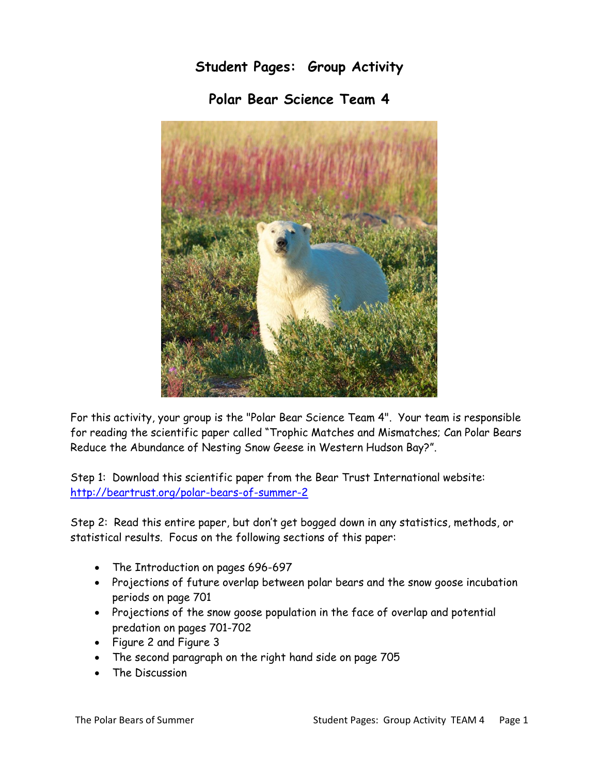**Student Pages: Group Activity**

**Polar Bear Science Team 4**



For this activity, your group is the "Polar Bear Science Team 4". Your team is responsible for reading the scientific paper called "Trophic Matches and Mismatches; Can Polar Bears Reduce the Abundance of Nesting Snow Geese in Western Hudson Bay?".

Step 1: Download this scientific paper from the Bear Trust International website: <http://beartrust.org/polar-bears-of-summer-2>

Step 2: Read this entire paper, but don't get bogged down in any statistics, methods, or statistical results. Focus on the following sections of this paper:

- The Introduction on pages 696-697
- Projections of future overlap between polar bears and the snow goose incubation periods on page 701
- Projections of the snow goose population in the face of overlap and potential predation on pages 701-702
- Figure 2 and Figure 3
- The second paragraph on the right hand side on page 705
- The Discussion